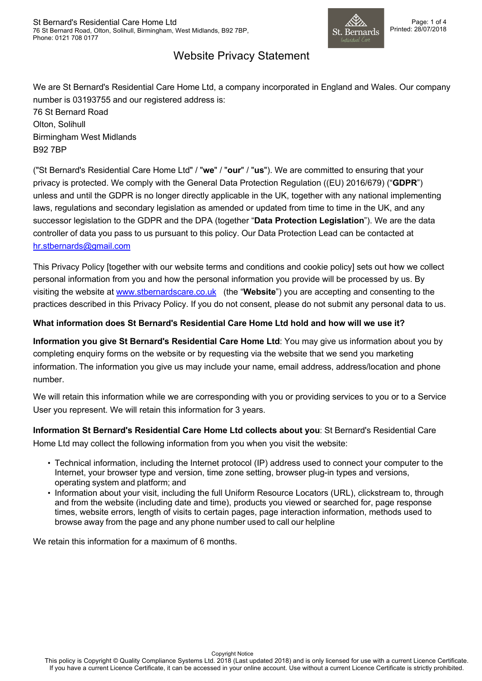

## Website Privacy Statement

We are St Bernard's Residential Care Home Ltd, a company incorporated in England and Wales. Our company number is 03193755 and our registered address is:

76 St Bernard Road Olton, Solihull Birmingham West Midlands B92 7BP

("St Bernard's Residential Care Home Ltd" / "**we**" / "**our**" / "**us**"). We are committed to ensuring that your privacy is protected. We comply with the General Data Protection Regulation ((EU) 2016/679) ("**GDPR**") unless and until the GDPR is no longer directly applicable in the UK, together with any national implementing laws, regulations and secondary legislation as amended or updated from time to time in the UK, and any successor legislation to the GDPR and the DPA (together "**Data Protection Legislation**"). We are the data controller of data you pass to us pursuant to this policy. Our Data Protection Lead can be contacted at hr.stbernards@gmail.com

This Privacy Policy [together with our website terms and conditions and cookie policy] sets out how we collect personal information from you and how the personal information you provide will be processed by us. By visiting the website at www.stbernardscare.co.uk (the "**Website**") you are accepting and consenting to the practices described in this Privacy Policy. If you do not consent, please do not submit any personal data to us.

### **What information does St Bernard's Residential Care Home Ltd hold and how will we use it?**

**Information you give St Bernard's Residential Care Home Ltd**: You may give us information about you by completing enquiry forms on the website or by requesting via the website that we send you marketing information. The information you give us may include your name, email address, address/location and phone number.

We will retain this information while we are corresponding with you or providing services to you or to a Service User you represent. We will retain this information for 3 years.

**Information St Bernard's Residential Care Home Ltd collects about you**: St Bernard's Residential Care Home Ltd may collect the following information from you when you visit the website:

- Technical information, including the Internet protocol (IP) address used to connect your computer to the Internet, your browser type and version, time zone setting, browser plug-in types and versions, operating system and platform; and
- Information about your visit, including the full Uniform Resource Locators (URL), clickstream to, through and from the website (including date and time), products you viewed or searched for, page response times, website errors, length of visits to certain pages, page interaction information, methods used to browse away from the page and any phone number used to call our helpline

We retain this information for a maximum of 6 months.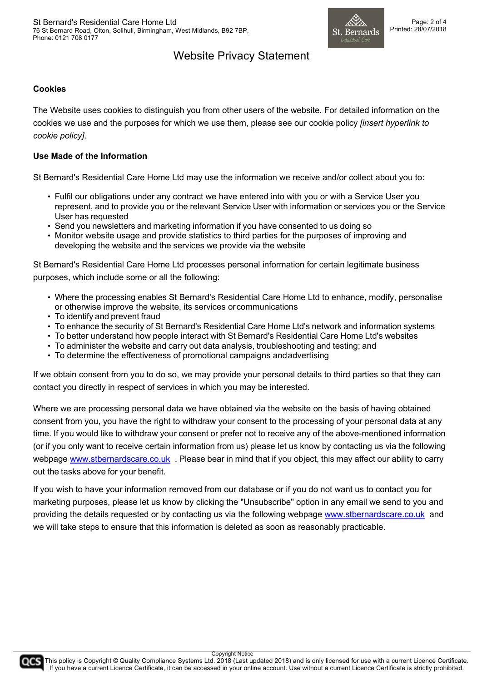

# Website Privacy Statement

#### **Cookies**

The Website uses cookies to distinguish you from other users of the website. For detailed information on the cookies we use and the purposes for which we use them, please see our cookie policy *[insert hyperlink to cookie policy]*.

#### **Use Made of the Information**

St Bernard's Residential Care Home Ltd may use the information we receive and/or collect about you to:

- Fulfil our obligations under any contract we have entered into with you or with a Service User you represent, and to provide you or the relevant Service User with information or services you or the Service User has requested
- Send you newsletters and marketing information if you have consented to us doing so
- Monitor website usage and provide statistics to third parties for the purposes of improving and developing the website and the services we provide via the website

St Bernard's Residential Care Home Ltd processes personal information for certain legitimate business purposes, which include some or all the following:

- Where the processing enables St Bernard's Residential Care Home Ltd to enhance, modify, personalise or otherwise improve the website, its services orcommunications
- To identify and prevent fraud
- To enhance the security of St Bernard's Residential Care Home Ltd's network and information systems
- To better understand how people interact with St Bernard's Residential Care Home Ltd's websites
- To administer the website and carry out data analysis, troubleshooting and testing; and
- To determine the effectiveness of promotional campaigns andadvertising

If we obtain consent from you to do so, we may provide your personal details to third parties so that they can contact you directly in respect of services in which you may be interested.

Where we are processing personal data we have obtained via the website on the basis of having obtained consent from you, you have the right to withdraw your consent to the processing of your personal data at any time. If you would like to withdraw your consent or prefer not to receive any of the above-mentioned information (or if you only want to receive certain information from us) please let us know by contacting us via the following webpage www.stbernardscare.co.uk . Please bear in mind that if you object, this may affect our ability to carry out the tasks above for your benefit.

If you wish to have your information removed from our database or if you do not want us to contact you for marketing purposes, please let us know by clicking the "Unsubscribe" option in any email we send to you and providing the details requested or by contacting us via the following webpage www.stbernardscare.co.uk and we will take steps to ensure that this information is deleted as soon as reasonably practicable.



Copyright Notice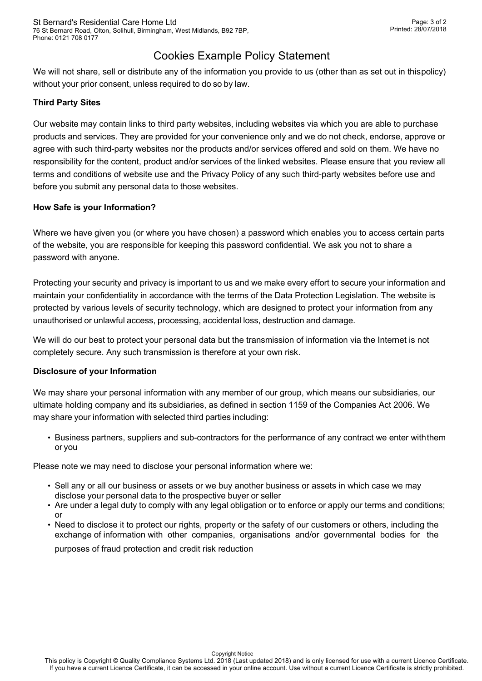# Cookies Example Policy Statement

We will not share, sell or distribute any of the information you provide to us (other than as set out in thispolicy) without your prior consent, unless required to do so by law.

#### **Third Party Sites**

Our website may contain links to third party websites, including websites via which you are able to purchase products and services. They are provided for your convenience only and we do not check, endorse, approve or agree with such third-party websites nor the products and/or services offered and sold on them. We have no responsibility for the content, product and/or services of the linked websites. Please ensure that you review all terms and conditions of website use and the Privacy Policy of any such third-party websites before use and before you submit any personal data to those websites.

#### **How Safe is your Information?**

Where we have given you (or where you have chosen) a password which enables you to access certain parts of the website, you are responsible for keeping this password confidential. We ask you not to share a password with anyone.

Protecting your security and privacy is important to us and we make every effort to secure your information and maintain your confidentiality in accordance with the terms of the Data Protection Legislation. The website is protected by various levels of security technology, which are designed to protect your information from any unauthorised or unlawful access, processing, accidental loss, destruction and damage.

We will do our best to protect your personal data but the transmission of information via the Internet is not completely secure. Any such transmission is therefore at your own risk.

#### **Disclosure of your Information**

We may share your personal information with any member of our group, which means our subsidiaries, our ultimate holding company and its subsidiaries, as defined in section 1159 of the Companies Act 2006. We may share your information with selected third parties including:

• Business partners, suppliers and sub-contractors for the performance of any contract we enter withthem or you

Please note we may need to disclose your personal information where we:

- Sell any or all our business or assets or we buy another business or assets in which case we may disclose your personal data to the prospective buyer or seller
- Are under a legal duty to comply with any legal obligation or to enforce or apply our terms and conditions; or
- Need to disclose it to protect our rights, property or the safety of our customers or others, including the exchange of information with other companies, organisations and/or governmental bodies for the

purposes of fraud protection and credit risk reduction